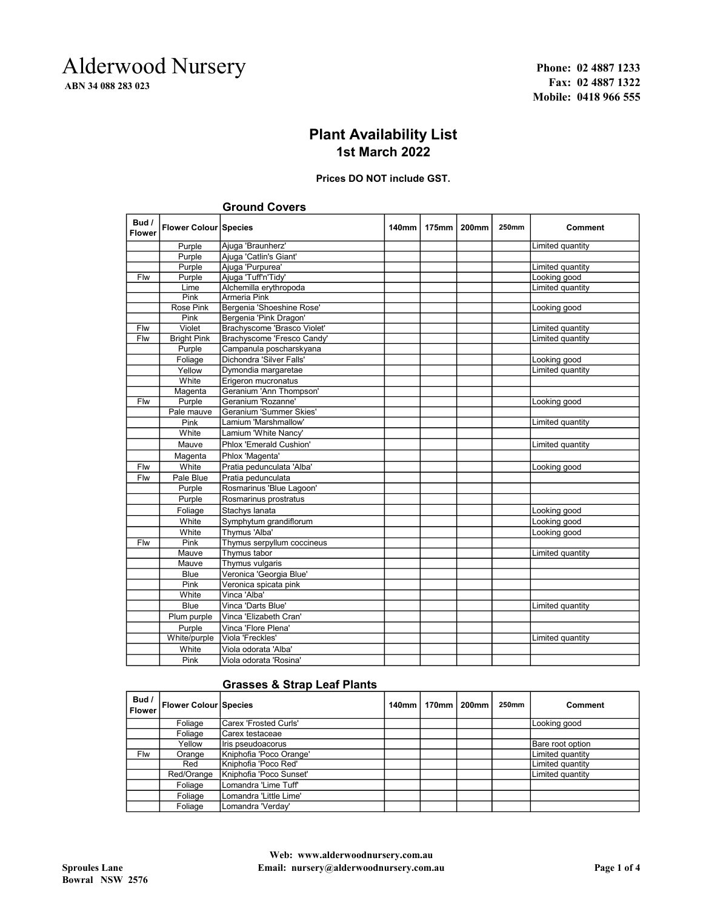## Alderwood Nursery ABN 34 088 283 023

Phone: 02 4887 1233 Fax: 02 4887 1322 Mobile: 0418 966 555

### Plant Availability List 1st March 2022

#### Prices DO NOT include GST.

|                        |                       | orodina oovers              |       |              |              |              |                  |
|------------------------|-----------------------|-----------------------------|-------|--------------|--------------|--------------|------------------|
| Bud /<br><b>Flower</b> | Flower Colour Species |                             | 140mm | <b>175mm</b> | <b>200mm</b> | <b>250mm</b> | Comment          |
|                        | Purple                | Ajuga 'Braunherz'           |       |              |              |              | Limited quantity |
|                        | Purple                | Ajuga 'Catlin's Giant'      |       |              |              |              |                  |
|                        | Purple                | Ajuga 'Purpurea'            |       |              |              |              | Limited quantity |
| Flw                    | Purple                | Ajuga 'Tuff'n'Tidy'         |       |              |              |              | Looking good     |
|                        | Lime                  | Alchemilla erythropoda      |       |              |              |              | Limited quantity |
|                        | Pink                  | <b>Armeria Pink</b>         |       |              |              |              |                  |
|                        | <b>Rose Pink</b>      | Bergenia 'Shoeshine Rose'   |       |              |              |              | Looking good     |
|                        | Pink                  | Bergenia 'Pink Dragon'      |       |              |              |              |                  |
| Flw                    | Violet                | Brachyscome 'Brasco Violet' |       |              |              |              | Limited quantity |
| Flw                    | <b>Bright Pink</b>    | Brachyscome 'Fresco Candy'  |       |              |              |              | Limited quantity |
|                        | Purple                | Campanula poscharskyana     |       |              |              |              |                  |
|                        | Foliage               | Dichondra 'Silver Falls'    |       |              |              |              | Looking good     |
|                        | Yellow                | Dymondia margaretae         |       |              |              |              | Limited quantity |
|                        | White                 | Erigeron mucronatus         |       |              |              |              |                  |
|                        | Magenta               | Geranium 'Ann Thompson'     |       |              |              |              |                  |
| Flw                    | Purple                | Geranium 'Rozanne'          |       |              |              |              | Looking good     |
|                        | Pale mauve            | Geranium 'Summer Skies'     |       |              |              |              |                  |
|                        | Pink                  | Lamium 'Marshmallow'        |       |              |              |              | Limited quantity |
|                        | White                 | Lamium 'White Nancy'        |       |              |              |              |                  |
|                        | Mauve                 | Phlox 'Emerald Cushion'     |       |              |              |              | Limited quantity |
|                        | Magenta               | Phlox 'Magenta'             |       |              |              |              |                  |
| Flw                    | White                 | Pratia pedunculata 'Alba'   |       |              |              |              | Looking good     |
| Flw                    | Pale Blue             | Pratia pedunculata          |       |              |              |              |                  |
|                        | Purple                | Rosmarinus 'Blue Lagoon'    |       |              |              |              |                  |
|                        | Purple                | Rosmarinus prostratus       |       |              |              |              |                  |
|                        | Foliage               | Stachys lanata              |       |              |              |              | Looking good     |
|                        | White                 | Symphytum grandiflorum      |       |              |              |              | Looking good     |
|                        | White                 | Thymus 'Alba'               |       |              |              |              | Looking good     |
| Flw                    | Pink                  | Thymus serpyllum coccineus  |       |              |              |              |                  |
|                        | Mauve                 | <b>Thymus tabor</b>         |       |              |              |              | Limited quantity |
|                        | Mauve                 | Thymus vulgaris             |       |              |              |              |                  |
|                        | <b>Blue</b>           | Veronica 'Georgia Blue'     |       |              |              |              |                  |
|                        | Pink                  | Veronica spicata pink       |       |              |              |              |                  |
|                        | White                 | Vinca 'Alba'                |       |              |              |              |                  |
|                        | Blue                  | Vinca 'Darts Blue'          |       |              |              |              | Limited quantity |
|                        | Plum purple           | Vinca 'Elizabeth Cran'      |       |              |              |              |                  |
|                        | Purple                | Vinca 'Flore Plena'         |       |              |              |              |                  |
|                        | White/purple          | Viola 'Freckles'            |       |              |              |              | Limited quantity |
|                        | White                 | Viola odorata 'Alba'        |       |              |              |              |                  |
|                        | Pink                  | Viola odorata 'Rosina'      |       |              |              |              |                  |
|                        |                       |                             |       |              |              |              |                  |

## Ground Covers

#### Grasses & Strap Leaf Plants

| Bud /<br><b>Flower</b> | <b>Flower Colour Species</b> |                               | 140mm | 170mm | <b>200mm</b> | 250mm | Comment          |
|------------------------|------------------------------|-------------------------------|-------|-------|--------------|-------|------------------|
|                        | Foliage                      | <b>ICarex 'Frosted Curls'</b> |       |       |              |       | Looking good     |
|                        | Foliage                      | lCarex testaceae              |       |       |              |       |                  |
|                        | Yellow                       | Iris pseudoacorus             |       |       |              |       | Bare root option |
| Flw                    | Orange                       | Kniphofia 'Poco Orange'       |       |       |              |       | Limited quantity |
|                        | Red                          | İKniphofia 'Poco Red'         |       |       |              |       | Limited quantity |
|                        | Red/Orange                   | Kniphofia 'Poco Sunset'       |       |       |              |       | Limited quantity |
|                        | Foliage                      | Lomandra 'Lime Tuff'          |       |       |              |       |                  |
|                        | Foliage                      | Lomandra 'Little Lime'        |       |       |              |       |                  |
|                        | Foliage                      | Lomandra 'Verday'             |       |       |              |       |                  |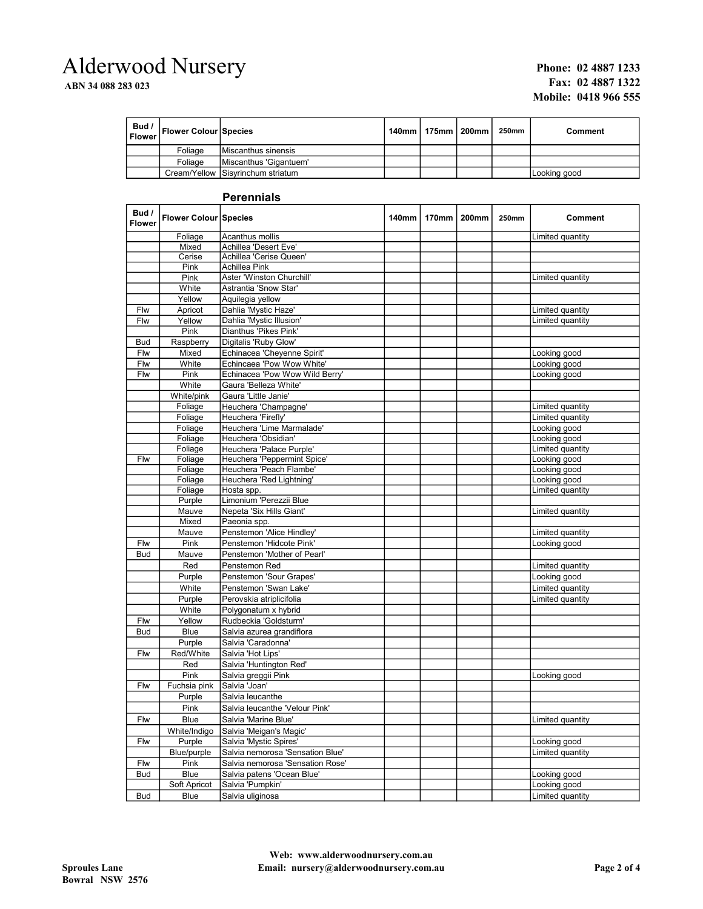# Alderwood Nursery

ABN 34 088 283 023

#### Phone: 02 4887 1233 Fax: 02 4887 1322 Mobile: 0418 966 555

| Bud /<br>  Flower | <b>Flower Colour Species</b> |                                   | 140mm   175mm   200mm | 250mm | Comment      |
|-------------------|------------------------------|-----------------------------------|-----------------------|-------|--------------|
|                   | Foliage                      | Miscanthus sinensis               |                       |       |              |
|                   | Foliage                      | Miscanthus 'Gigantuem'            |                       |       |              |
|                   |                              | Cream/Yellow Sisyrinchum striatum |                       |       | Looking good |

#### **Perennials**

| Bud /<br>Flower | Flower Colour Species |                                  | <b>140mm</b> | 170mm | <b>200mm</b> | 250mm | Comment          |
|-----------------|-----------------------|----------------------------------|--------------|-------|--------------|-------|------------------|
|                 | Foliage               | Acanthus mollis                  |              |       |              |       | Limited quantity |
|                 | Mixed                 | Achillea 'Desert Eve'            |              |       |              |       |                  |
|                 | Cerise                | Achillea 'Cerise Queen'          |              |       |              |       |                  |
|                 | Pink                  | Achillea Pink                    |              |       |              |       |                  |
|                 | Pink                  | Aster 'Winston Churchill'        |              |       |              |       | Limited quantity |
|                 | White                 | Astrantia 'Snow Star'            |              |       |              |       |                  |
|                 | Yellow                | Aquilegia yellow                 |              |       |              |       |                  |
| Flw             | Apricot               | Dahlia 'Mystic Haze'             |              |       |              |       | Limited quantity |
| Flw             | Yellow                | Dahlia 'Mystic Illusion'         |              |       |              |       | Limited quantity |
|                 | Pink                  | Dianthus 'Pikes Pink'            |              |       |              |       |                  |
| <b>Bud</b>      | Raspberry             | Digitalis 'Ruby Glow'            |              |       |              |       |                  |
| Flw             | Mixed                 | Echinacea 'Cheyenne Spirit'      |              |       |              |       | Looking good     |
| Flw             | White                 | Echincaea 'Pow Wow White'        |              |       |              |       | Looking good     |
| Flw             | Pink                  | Echinacea 'Pow Wow Wild Berry'   |              |       |              |       | Looking good     |
|                 | White                 | Gaura 'Belleza White'            |              |       |              |       |                  |
|                 | White/pink            | Gaura 'Little Janie'             |              |       |              |       |                  |
|                 | Foliage               | Heuchera 'Champagne'             |              |       |              |       | Limited quantity |
|                 | Foliage               | Heuchera 'Firefly'               |              |       |              |       | Limited quantity |
|                 | Foliage               | Heuchera 'Lime Marmalade'        |              |       |              |       | Looking good     |
|                 | Foliage               | Heuchera 'Obsidian'              |              |       |              |       | Looking good     |
|                 | Foliage               | Heuchera 'Palace Purple'         |              |       |              |       | Limited quantity |
| Flw             | Foliage               | Heuchera 'Peppermint Spice'      |              |       |              |       | Looking good     |
|                 | Foliage               | Heuchera 'Peach Flambe'          |              |       |              |       | Looking good     |
|                 | Foliage               | Heuchera 'Red Lightning'         |              |       |              |       | Looking good     |
|                 | Foliage               | Hosta spp.                       |              |       |              |       | Limited quantity |
|                 | Purple                | Limonium 'Perezzii Blue          |              |       |              |       |                  |
|                 | Mauve                 | Nepeta 'Six Hills Giant'         |              |       |              |       | Limited quantity |
|                 | Mixed                 | Paeonia spp.                     |              |       |              |       |                  |
|                 | Mauve                 | Penstemon 'Alice Hindley'        |              |       |              |       | Limited quantity |
| Flw             | Pink                  | Penstemon 'Hidcote Pink'         |              |       |              |       | Looking good     |
| <b>Bud</b>      | Mauve                 | Penstemon 'Mother of Pearl'      |              |       |              |       |                  |
|                 | Red                   | Penstemon Red                    |              |       |              |       | Limited quantity |
|                 | Purple                | Penstemon 'Sour Grapes'          |              |       |              |       | Looking good     |
|                 | White                 | Penstemon 'Swan Lake'            |              |       |              |       | Limited quantity |
|                 | Purple                | Perovskia atriplicifolia         |              |       |              |       | Limited quantity |
|                 | White                 | Polygonatum x hybrid             |              |       |              |       |                  |
| Flw             | Yellow                | Rudbeckia 'Goldsturm'            |              |       |              |       |                  |
| <b>Bud</b>      | <b>Blue</b>           | Salvia azurea grandiflora        |              |       |              |       |                  |
|                 | Purple                | Salvia 'Caradonna'               |              |       |              |       |                  |
| Flw             | Red/White             | Salvia 'Hot Lips'                |              |       |              |       |                  |
|                 | Red                   | Salvia 'Huntington Red'          |              |       |              |       |                  |
|                 | Pink                  | Salvia greggii Pink              |              |       |              |       | Looking good     |
| Flw             | Fuchsia pink          | Salvia 'Joan'                    |              |       |              |       |                  |
|                 | Purple                | Salvia leucanthe                 |              |       |              |       |                  |
|                 | Pink                  | Salvia leucanthe 'Velour Pink'   |              |       |              |       |                  |
| Flw             | <b>Blue</b>           | Salvia 'Marine Blue'             |              |       |              |       | Limited quantity |
|                 | White/Indigo          | Salvia 'Meigan's Magic'          |              |       |              |       |                  |
| Flw             | Purple                | Salvia 'Mystic Spires'           |              |       |              |       | Looking good     |
|                 | Blue/purple           | Salvia nemorosa 'Sensation Blue' |              |       |              |       | Limited quantity |
| Flw             | Pink                  | Salvia nemorosa 'Sensation Rose' |              |       |              |       |                  |
| <b>Bud</b>      | Blue                  | Salvia patens 'Ocean Blue'       |              |       |              |       | Looking good     |
|                 | Soft Apricot          | Salvia 'Pumpkin'                 |              |       |              |       | Looking good     |
| <b>Bud</b>      | Blue                  | Salvia uliginosa                 |              |       |              |       | Limited quantity |
|                 |                       |                                  |              |       |              |       |                  |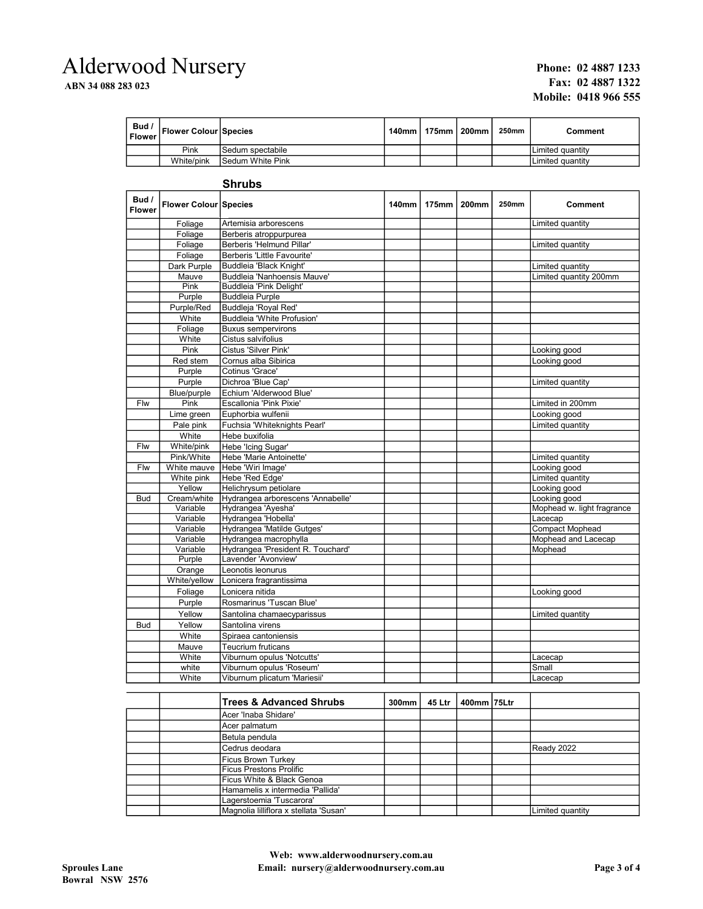# Alderwood Nursery

ABN 34 088 283 023

#### Phone: 02 4887 1233 Fax: 02 4887 1322 Mobile: 0418 966 555

| Bud /<br><b>Flower</b> | <b>Flower Colour Species</b> |                         | 140mm ∣ 175mm ∣ 200mm l | <b>250mm</b> | Comment           |
|------------------------|------------------------------|-------------------------|-------------------------|--------------|-------------------|
|                        | Pink                         | ISedum spectabile       |                         |              | ILimited quantitv |
|                        | White/pink                   | <b>Sedum White Pink</b> |                         |              | Limited quantitv  |

### Shrubs

| Bud /<br><b>Flower</b> | Flower Colour Species |                                   | <b>140mm</b> | <b>175mm</b> | <b>200mm</b> | <b>250mm</b> | <b>Comment</b>             |
|------------------------|-----------------------|-----------------------------------|--------------|--------------|--------------|--------------|----------------------------|
|                        | Foliage               | Artemisia arborescens             |              |              |              |              | Limited quantity           |
|                        | Foliage               | Berberis atroppurpurea            |              |              |              |              |                            |
|                        | Foliage               | Berberis 'Helmund Pillar'         |              |              |              |              | Limited quantity           |
|                        | Foliage               | Berberis 'Little Favourite'       |              |              |              |              |                            |
|                        | Dark Purple           | Buddleia 'Black Knight'           |              |              |              |              | Limited quantity           |
|                        | Mauve                 | Buddleia 'Nanhoensis Mauve'       |              |              |              |              | Limited quantity 200mm     |
|                        | Pink                  | Buddleia 'Pink Delight'           |              |              |              |              |                            |
|                        | Purple                | <b>Buddleia Purple</b>            |              |              |              |              |                            |
|                        | Purple/Red            | Buddleja 'Royal Red'              |              |              |              |              |                            |
|                        | White                 | Buddleia 'White Profusion'        |              |              |              |              |                            |
|                        | Foliage               | <b>Buxus sempervirons</b>         |              |              |              |              |                            |
|                        | White                 | Cistus salvifolius                |              |              |              |              |                            |
|                        | Pink                  | Cistus 'Silver Pink'              |              |              |              |              | Looking good               |
|                        | Red stem              | Cornus alba Sibirica              |              |              |              |              | Looking good               |
|                        | Purple                | Cotinus 'Grace'                   |              |              |              |              |                            |
|                        | Purple                | Dichroa 'Blue Cap'                |              |              |              |              | Limited quantity           |
|                        | Blue/purple           | Echium 'Alderwood Blue'           |              |              |              |              |                            |
| Flw                    | Pink                  | Escallonia 'Pink Pixie'           |              |              |              |              | Limited in 200mm           |
|                        | Lime green            | Euphorbia wulfenii                |              |              |              |              | Looking good               |
|                        | Pale pink             | Fuchsia 'Whiteknights Pearl'      |              |              |              |              | Limited quantity           |
|                        | White                 | Hebe buxifolia                    |              |              |              |              |                            |
| Flw                    | White/pink            | Hebe 'Icing Sugar'                |              |              |              |              |                            |
|                        | Pink/White            | Hebe 'Marie Antoinette'           |              |              |              |              | Limited quantity           |
| Flw                    | White mauve           | Hebe 'Wiri Image'                 |              |              |              |              | Looking good               |
|                        | White pink            | Hebe 'Red Edge'                   |              |              |              |              | Limited quantity           |
|                        | Yellow                | Helichrysum petiolare             |              |              |              |              | Looking good               |
| <b>Bud</b>             | Cream/white           | Hydrangea arborescens 'Annabelle' |              |              |              |              | Looking good               |
|                        | Variable              | Hydrangea 'Ayesha'                |              |              |              |              | Mophead w. light fragrance |
|                        | Variable              | Hydrangea 'Hobella'               |              |              |              |              | Lacecap                    |
|                        | Variable              | Hydrangea 'Matilde Gutges'        |              |              |              |              | <b>Compact Mophead</b>     |
|                        | Variable              | Hydrangea macrophylla             |              |              |              |              | Mophead and Lacecap        |
|                        | Variable              | Hydrangea 'President R. Touchard' |              |              |              |              | Mophead                    |
|                        | Purple                | Lavender 'Avonview'               |              |              |              |              |                            |
|                        | Orange                | Leonotis leonurus                 |              |              |              |              |                            |
|                        | White/yellow          | Lonicera fragrantissima           |              |              |              |              |                            |
|                        | Foliage               | Lonicera nitida                   |              |              |              |              | Looking good               |
|                        | Purple                | Rosmarinus 'Tuscan Blue'          |              |              |              |              |                            |
|                        | Yellow                | Santolina chamaecyparissus        |              |              |              |              | Limited quantity           |
| <b>Bud</b>             | Yellow                | Santolina virens                  |              |              |              |              |                            |
|                        | White                 | Spiraea cantoniensis              |              |              |              |              |                            |
|                        | Mauve                 | <b>Teucrium fruticans</b>         |              |              |              |              |                            |
|                        | White                 | Viburnum opulus 'Notcutts'        |              |              |              |              | Lacecap                    |
|                        | white                 | Viburnum opulus 'Roseum'          |              |              |              |              | Small                      |
|                        | White                 | Viburnum plicatum 'Mariesii'      |              |              |              |              | Lacecap                    |

| <b>Trees &amp; Advanced Shrubs</b>     | 300mm | 45 Ltr | 400mm 75Ltr |                  |
|----------------------------------------|-------|--------|-------------|------------------|
| Acer 'Inaba Shidare'                   |       |        |             |                  |
| Acer palmatum                          |       |        |             |                  |
| Betula pendula                         |       |        |             |                  |
| Cedrus deodara                         |       |        |             | Ready 2022       |
| Ficus Brown Turkey                     |       |        |             |                  |
| <b>Ficus Prestons Prolific</b>         |       |        |             |                  |
| lFicus White & Black Genoa             |       |        |             |                  |
| Hamamelis x intermedia 'Pallida'       |       |        |             |                  |
| Lagerstoemia 'Tuscarora'               |       |        |             |                  |
| Magnolia lilliflora x stellata 'Susan' |       |        |             | Limited quantity |